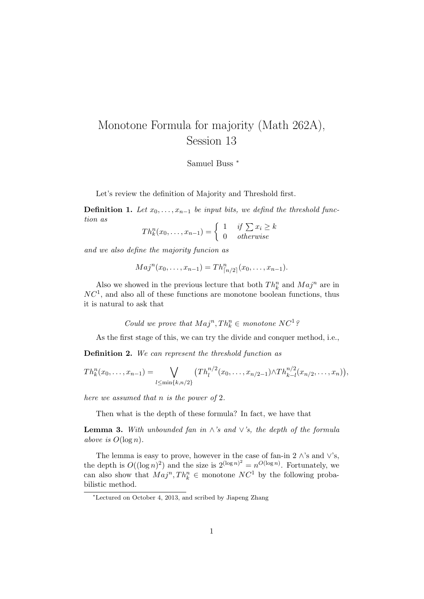## Monotone Formula for majority (Math 262A), Session 13

Samuel Buss <sup>∗</sup>

Let's review the definition of Majority and Threshold first.

**Definition 1.** Let  $x_0, \ldots, x_{n-1}$  be input bits, we defind the threshold function as

$$
Th_k^n(x_0, \ldots, x_{n-1}) = \begin{cases} 1 & \text{if } \sum x_i \ge k \\ 0 & \text{otherwise} \end{cases}
$$

and we also define the majority funcion as

$$
Maj^{n}(x_0,\ldots,x_{n-1})=Th^{n}_{\lceil n/2 \rceil}(x_0,\ldots,x_{n-1}).
$$

Also we showed in the previous lecture that both  $Th_k^n$  and  $Maj^n$  are in  $NC<sup>1</sup>$ , and also all of these functions are monotone boolean functions, thus it is natural to ask that

Could we prove that  $Maj^n, Th_k^n \in monotone NC^1$ ?

As the first stage of this, we can try the divide and conquer method, i.e.,

Definition 2. We can represent the threshold function as

$$
Th_k^n(x_0,\ldots,x_{n-1})=\bigvee_{l\leq \min\{k,n/2\}}(Th_l^{n/2}(x_0,\ldots,x_{n/2-1})\wedge Th_{k-l}^{n/2}(x_{n/2},\ldots,x_n)),
$$

here we assumed that n is the power of 2.

Then what is the depth of these formula? In fact, we have that

**Lemma 3.** With unbounded fan in  $\wedge$ 's and  $\vee$ 's, the depth of the formula above is  $O(\log n)$ .

The lemma is easy to prove, however in the case of fan-in 2  $\wedge$ 's and  $\vee$ 's, the depth is  $O((\log n)^2)$  and the size is  $2^{(\log n)^2} = n^{O(\log n)}$ . Fortunately, we can also show that  $Maj^n, Th_k^n \in \text{monotone } NC^1$  by the following probabilistic method.

<sup>∗</sup>Lectured on October 4, 2013, and scribed by Jiapeng Zhang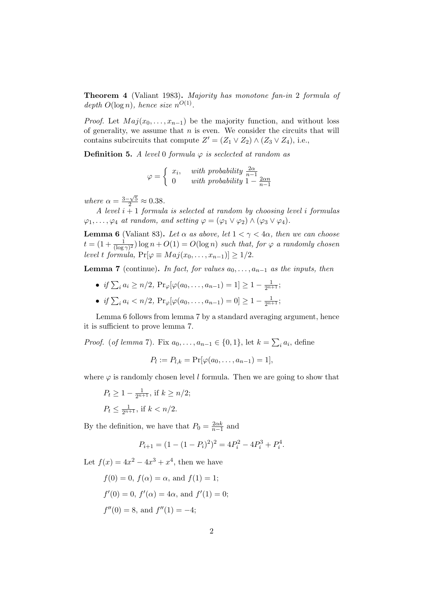Theorem 4 (Valiant 1983). Majority has monotone fan-in 2 formula of depth  $O(\log n)$ , hence size  $n^{O(1)}$ .

*Proof.* Let  $Maj(x_0, \ldots, x_{n-1})$  be the majority function, and without loss of generality, we assume that  $n$  is even. We consider the circuits that will contains subcircuits that compute  $Z' = (Z_1 \vee Z_2) \wedge (Z_3 \vee Z_4)$ , i.e.,

**Definition 5.** A level 0 formula  $\varphi$  is seclected at random as

$$
\varphi = \begin{cases} x_i, & with \ probability \frac{2\alpha}{n-1} \\ 0 & with \ probability \ 1 - \frac{2\alpha n}{n-1} \end{cases}
$$

where  $\alpha = \frac{3-\sqrt{5}}{2} \approx 0.38$ .

A level  $i + 1$  formula is selected at random by choosing level i formulas  $\varphi_1, \ldots, \varphi_4$  at random, and setting  $\varphi = (\varphi_1 \vee \varphi_2) \wedge (\varphi_3 \vee \varphi_4)$ .

**Lemma 6** (Valiant 83). Let  $\alpha$  as above, let  $1 < \gamma < 4\alpha$ , then we can choose  $t = (1 + \frac{1}{(\log \gamma)^2}) \log n + O(1) = O(\log n)$  such that, for  $\varphi$  a randomly chosen level t formula,  $Pr[\varphi \equiv Maj(x_0, \ldots, x_{n-1})] > 1/2$ .

**Lemma 7** (continue). In fact, for values  $a_0, \ldots, a_{n-1}$  as the inputs, then

- if  $\sum_i a_i \ge n/2$ ,  $Pr_{\varphi}[\varphi(a_0, \ldots, a_{n-1}) = 1] \ge 1 \frac{1}{2^{n+1}};$
- if  $\sum_i a_i < n/2$ ,  $Pr_{\varphi}[\varphi(a_0, \ldots, a_{n-1}) = 0] \ge 1 \frac{1}{2^{n+1}};$

Lemma 6 follows from lemma 7 by a standard averaging argument, hence it is sufficient to prove lemma 7.

*Proof.* (*of lemma* 7). Fix  $a_0, \ldots, a_{n-1} \in \{0, 1\}$ , let  $k = \sum_i a_i$ , define

$$
P_l := P_{l,k} = \Pr[\varphi(a_0, \dots, a_{n-1}) = 1],
$$

where  $\varphi$  is randomly chosen level l formula. Then we are going to show that

 $P_t \geq 1 - \frac{1}{2^{n+1}}, \text{ if } k \geq n/2;$  $P_t \leq \frac{1}{2^{n+1}}$ , if  $k < n/2$ .

By the definition, we have that  $P_0 = \frac{2\alpha k}{n-1}$  and

$$
P_{i+1} = (1 - (1 - P_i)^2)^2 = 4P_i^2 - 4P_i^3 + P_i^4.
$$

Let  $f(x) = 4x^2 - 4x^3 + x^4$ , then we have

$$
f(0) = 0
$$
,  $f(\alpha) = \alpha$ , and  $f(1) = 1$ ;  
\n $f'(0) = 0$ ,  $f'(\alpha) = 4\alpha$ , and  $f'(1) = 0$ ;  
\n $f''(0) = 8$ , and  $f''(1) = -4$ ;